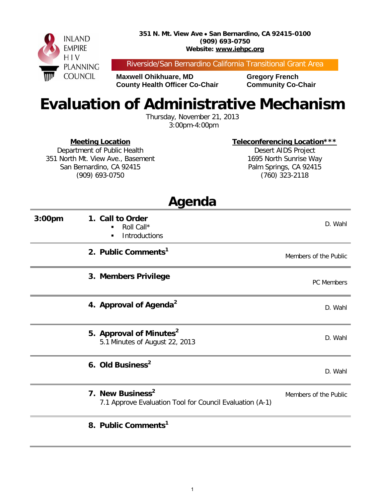

Riverside/San Bernardino California Transitional Grant Area

**Maxwell Ohikhuare, MD Gregory French County Health Officer Co-Chair Community Co-Chair** 

# **Evaluation of Administrative Mechanism**

Thursday, November 21, 2013 3:00pm-4:00pm

#### **Meeting Location**

Department of Public Health 351 North Mt. View Ave., Basement San Bernardino, CA 92415 (909) 693-0750

**Teleconferencing Location\*\*\*** Desert AIDS Project

1695 North Sunrise Way Palm Springs, CA 92415 (760) 323-2118

|                    | Agenda                                                                                   |                       |
|--------------------|------------------------------------------------------------------------------------------|-----------------------|
| 3:00 <sub>pm</sub> | 1. Call to Order<br>Roll Call*<br>Introductions<br>٠                                     | D. Wahl               |
|                    | 2. Public Comments <sup>1</sup>                                                          | Members of the Public |
|                    | 3. Members Privilege                                                                     | <b>PC</b> Members     |
|                    | 4. Approval of Agenda <sup>2</sup>                                                       | D. Wahl               |
|                    | 5. Approval of Minutes <sup>2</sup><br>5.1 Minutes of August 22, 2013                    | D. Wahl               |
|                    | 6. Old Business <sup>2</sup>                                                             | D. Wahl               |
|                    | 7. New Business <sup>2</sup><br>7.1 Approve Evaluation Tool for Council Evaluation (A-1) | Members of the Public |
|                    | 8. Public Comments <sup>1</sup>                                                          |                       |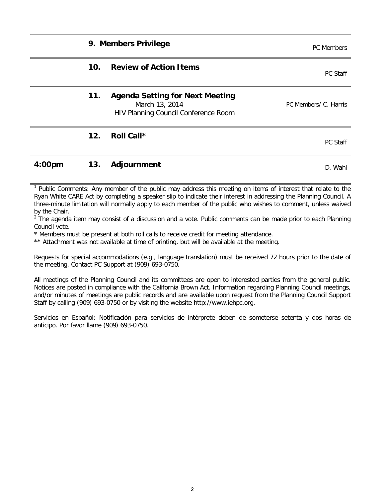**9. Members Privilege Privilege PC Members PC Members** 

| 10.             | <b>Review of Action Items</b>                                                                           | <b>PC Staff</b>       |
|-----------------|---------------------------------------------------------------------------------------------------------|-----------------------|
| 11.             | <b>Agenda Setting for Next Meeting</b><br>March 13, 2014<br><b>HIV Planning Council Conference Room</b> | PC Members/ C. Harris |
| 12 <sub>1</sub> | Roll Call*                                                                                              | PC Staff              |

#### **4:00pm 13.** Adjournment **D. Wahl**

<sup>1</sup> Public Comments: Any member of the public may address this meeting on items of interest that relate to the Ryan White CARE Act by completing a speaker slip to indicate their interest in addressing the Planning Council. A three-minute limitation will normally apply to each member of the public who wishes to comment, unless waived by the Chair.

 $2\degree$ The agenda item may consist of a discussion and a vote. Public comments can be made prior to each Planning Council vote.

\* Members must be present at both roll calls to receive credit for meeting attendance.

\*\* Attachment was not available at time of printing, but will be available at the meeting.

Requests for special accommodations (e.g., language translation) must be received 72 hours prior to the date of the meeting. Contact PC Support at (909) 693-0750.

All meetings of the Planning Council and its committees are open to interested parties from the general public. Notices are posted in compliance with the California Brown Act. Information regarding Planning Council meetings, and/or minutes of meetings are public records and are available upon request from the Planning Council Support Staff by calling (909) 693-0750 or by visiting the website http://www.iehpc.org.

Servicios en Español: Notificación para servicios de intérprete deben de someterse setenta y dos horas de anticipo. Por favor llame (909) 693-0750.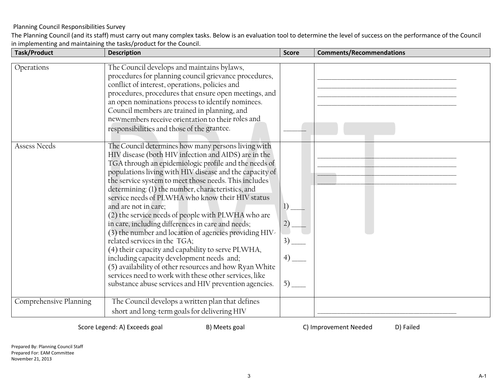The Planning Council (and its staff) must carry out many complex tasks. Below is an evaluation tool to determine the level of success on the performance of the Council in implementing and maintaining the tasks/product for the Council.

| <b>Task/Product</b>    | <b>Description</b>                                                                                                                                                                                                                                                                                                                                                                                                                                                                                                                                                                                                                                                                                                                                                                                                                                                                                           | <b>Score</b>                     | <b>Comments/Recommendations</b> |
|------------------------|--------------------------------------------------------------------------------------------------------------------------------------------------------------------------------------------------------------------------------------------------------------------------------------------------------------------------------------------------------------------------------------------------------------------------------------------------------------------------------------------------------------------------------------------------------------------------------------------------------------------------------------------------------------------------------------------------------------------------------------------------------------------------------------------------------------------------------------------------------------------------------------------------------------|----------------------------------|---------------------------------|
| Operations             | The Council develops and maintains bylaws,<br>procedures for planning council grievance procedures,<br>conflict of interest, operations, policies and<br>procedures, procedures that ensure open meetings, and<br>an open nominations process to identify nominees.<br>Council members are trained in planning, and<br>newmembers receive orientation to their roles and<br>responsibilities and those of the grantee.                                                                                                                                                                                                                                                                                                                                                                                                                                                                                       |                                  |                                 |
| Assess Needs           | The Council determines how many persons living with<br>HIV disease (both HIV infection and AIDS) are in the<br>TGA through an epidemiologic profile and the needs of<br>populations living with HIV disease and the capacity of<br>the service system to meet those needs. This includes<br>determining: (1) the number, characteristics, and<br>service needs of PLWHA who know their HIV status<br>and are not in care;<br>(2) the service needs of people with PLWHA who are<br>in care, including differences in care and needs;<br>(3) the number and location of agencies providing HIV-<br>related services in the TGA;<br>(4) their capacity and capability to serve PLWHA,<br>including capacity development needs and;<br>(5) availability of other resources and how Ryan White<br>services need to work with these other services, like<br>substance abuse services and HIV prevention agencies. | 2)<br>$3)$ $-$<br>4)<br>$5)$ $-$ |                                 |
| Comprehensive Planning | The Council develops a written plan that defines<br>short and long-term goals for delivering HIV                                                                                                                                                                                                                                                                                                                                                                                                                                                                                                                                                                                                                                                                                                                                                                                                             |                                  |                                 |

Score Legend: A) Exceeds goal B) Meets goal C) Improvement Needed D) Failed

Prepared By: Planning Council Staff Prepared For: EAM Committee November 21, 2013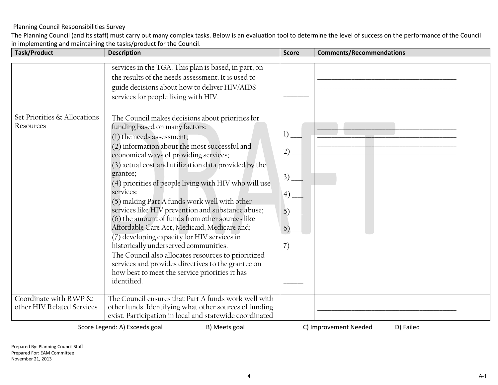The Planning Council (and its staff) must carry out many complex tasks. Below is an evaluation tool to determine the level of success on the performance of the Council in implementing and maintaining the tasks/product for the Council.

| <b>Task/Product</b>                                 | <b>Description</b>                                                                                                                                                                                                                                                                                                                                                                                                                                                                                                                                                                                                                                                                                                                                                                                                                 | <b>Score</b>                                | <b>Comments/Recommendations</b> |
|-----------------------------------------------------|------------------------------------------------------------------------------------------------------------------------------------------------------------------------------------------------------------------------------------------------------------------------------------------------------------------------------------------------------------------------------------------------------------------------------------------------------------------------------------------------------------------------------------------------------------------------------------------------------------------------------------------------------------------------------------------------------------------------------------------------------------------------------------------------------------------------------------|---------------------------------------------|---------------------------------|
|                                                     |                                                                                                                                                                                                                                                                                                                                                                                                                                                                                                                                                                                                                                                                                                                                                                                                                                    |                                             |                                 |
|                                                     | services in the TGA. This plan is based, in part, on<br>the results of the needs assessment. It is used to<br>guide decisions about how to deliver HIV/AIDS<br>services for people living with HIV.                                                                                                                                                                                                                                                                                                                                                                                                                                                                                                                                                                                                                                |                                             |                                 |
| Set Priorities & Allocations<br>Resources           | The Council makes decisions about priorities for<br>funding based on many factors:<br>(1) the needs assessment;<br>(2) information about the most successful and<br>economical ways of providing services;<br>(3) actual cost and utilization data provided by the<br>grantee;<br>(4) priorities of people living with HIV who will use<br>services;<br>(5) making Part A funds work well with other<br>services like HIV prevention and substance abuse;<br>(6) the amount of funds from other sources like<br>Affordable Care Act, Medicaid, Medicare and;<br>(7) developing capacity for HIV services in<br>historically underserved communities.<br>The Council also allocates resources to prioritized<br>services and provides directives to the grantee on<br>how best to meet the service priorities it has<br>identified. | 1)<br>2)<br>3)<br>(4)<br>5)<br>6)<br>$7)$ — |                                 |
| Coordinate with RWP &<br>other HIV Related Services | The Council ensures that Part A funds work well with<br>other funds. Identifying what other sources of funding<br>exist. Participation in local and statewide coordinated                                                                                                                                                                                                                                                                                                                                                                                                                                                                                                                                                                                                                                                          |                                             |                                 |

Score Legend: A) Exceeds goal B) Meets goal C) Improvement Needed D) Failed

Prepared By: Planning Council Staff Prepared For: EAM Committee November 21, 2013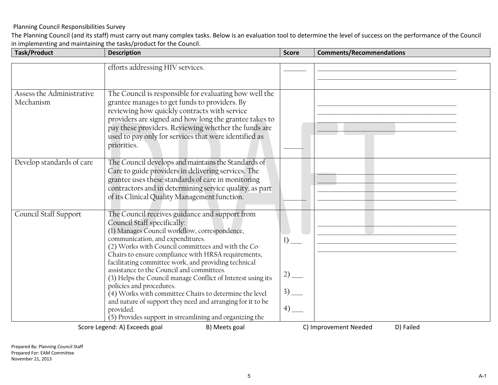The Planning Council (and its staff) must carry out many complex tasks. Below is an evaluation tool to determine the level of success on the performance of the Council in implementing and maintaining the tasks/product for the Council.

| <b>Task/Product</b>       | <b>Description</b>                                                                      | <b>Score</b> | <b>Comments/Recommendations</b>    |
|---------------------------|-----------------------------------------------------------------------------------------|--------------|------------------------------------|
|                           |                                                                                         |              |                                    |
|                           | efforts addressing HIV services.                                                        |              |                                    |
|                           |                                                                                         |              |                                    |
|                           |                                                                                         |              |                                    |
| Assess the Administrative | The Council is responsible for evaluating how well the                                  |              |                                    |
| Mechanism                 | grantee manages to get funds to providers. By                                           |              |                                    |
|                           | reviewing how quickly contracts with service                                            |              |                                    |
|                           | providers are signed and how long the grantee takes to                                  |              |                                    |
|                           | pay these providers. Reviewing whether the funds are                                    |              |                                    |
|                           | used to pay only for services that were identified as                                   |              |                                    |
|                           | priorities.                                                                             |              |                                    |
|                           |                                                                                         |              |                                    |
| Develop standards of care | The Council develops and maintains the Standards of                                     |              |                                    |
|                           | Care to guide providers in delivering services. The                                     |              |                                    |
|                           | grantee uses these standards of care in monitoring                                      |              |                                    |
|                           | contractors and in determining service quality, as part                                 |              |                                    |
|                           | of its Clinical Quality Management function.                                            |              |                                    |
|                           |                                                                                         |              |                                    |
| Council Staff Support     | The Council receives guidance and support from                                          |              |                                    |
|                           | Council Staff specifically:                                                             |              |                                    |
|                           | (1) Manages Council workflow, correspondence,                                           |              |                                    |
|                           | communication, and expenditures.                                                        | 1)           |                                    |
|                           | (2) Works with Council committees and with the Co-                                      |              |                                    |
|                           | Chairs to ensure compliance with HRSA requirements,                                     |              |                                    |
|                           | facilitating committee work, and providing technical                                    |              |                                    |
|                           | assistance to the Council and committees.                                               | $2)$ —       |                                    |
|                           | (3) Helps the Council manage Conflict of Interest using its<br>policies and procedures. |              |                                    |
|                           | $(4)$ Works with committee Chairs to determine the level                                | $3)$ —       |                                    |
|                           | and nature of support they need and arranging for it to be                              |              |                                    |
|                           | provided.                                                                               | $^{(4)}-$    |                                    |
|                           | (5) Provides support in streamlining and organizing the                                 |              |                                    |
|                           | Score Legend: A) Exceeds goal<br>B) Meets goal                                          |              | C) Improvement Needed<br>D) Failed |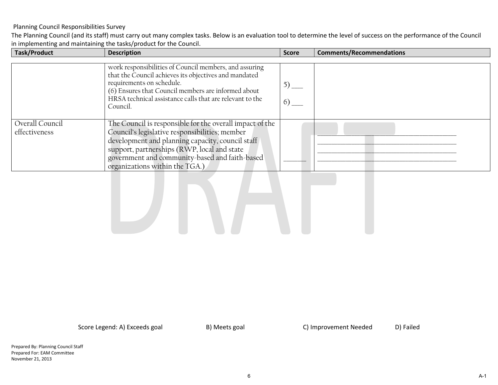The Planning Council (and its staff) must carry out many complex tasks. Below is an evaluation tool to determine the level of success on the performance of the Council in implementing and maintaining the tasks/product for the Council.

| <b>Task/Product</b> | <b>Description</b>                                       | <b>Score</b> | <b>Comments/Recommendations</b> |
|---------------------|----------------------------------------------------------|--------------|---------------------------------|
|                     |                                                          |              |                                 |
|                     | work responsibilities of Council members, and assuring   |              |                                 |
|                     | that the Council achieves its objectives and mandated    |              |                                 |
|                     | requirements on schedule.                                | $5)$ —       |                                 |
|                     | (6) Ensures that Council members are informed about      |              |                                 |
|                     | HRSA technical assistance calls that are relevant to the |              |                                 |
|                     | Council.                                                 | 6)           |                                 |
|                     |                                                          |              |                                 |
|                     |                                                          |              |                                 |
| Overall Council     | The Council is responsible for the overall impact of the |              |                                 |
| effectiveness       | Council's legislative responsibilities; member           |              |                                 |
|                     | development and planning capacity, council staff         |              |                                 |
|                     | support, partnerships (RWP, local and state              |              |                                 |
|                     | government and community-based and faith-based           |              |                                 |
|                     | organizations within the TGA.)                           |              |                                 |

Score Legend: A) Exceeds goal B) Meets goal C) Improvement Needed D) Failed

Prepared By: Planning Council Staff Prepared For: EAM Committee November 21, 2013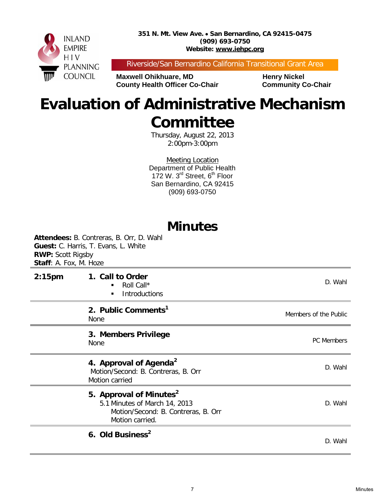**351 N. Mt. View Ave.** • **San Bernardino, CA 92415-0475 (909) 693-0750 Website: www.iehpc.org**



Riverside/San Bernardino California Transitional Grant Area

**Maxwell Ohikhuare, MD** Henry Nickel **County Health Officer Co-Chair Community Co-Chair** 

## **Evaluation of Administrative Mechanism Committee**

Thursday, August 22, 2013 2:00pm-3:00pm

Meeting Location Department of Public Health 172 W.  $3^{\text{rd}}$  Street,  $6^{\text{th}}$  Floor San Bernardino, CA 92415 (909) 693-0750

### **Minutes**

**Attendees:** B. Contreras, B. Orr, D. Wahl **Guest:** C. Harris, T. Evans, L. White **RWP:** Scott Rigsby **Staff**: A. Fox, M. Hoze **2:15pm 1. Call to Order** Roll Call\* **Introductions** D. Wahl **2. Public Comments1 2. Public Comments**<br>None Members of the Public **3. Members Privilege** None PC Members **4. Approval of Agenda<sup>2</sup>** Motion/Second: B. Contreras, B. Orr Motion carried D. Wahl **5. Approval of Minutes<sup>2</sup>** 5.1 Minutes of March 14, 2013 Motion/Second: B. Contreras, B. Orr Motion carried. D. Wahl **6. Old Business2** D. Wahl